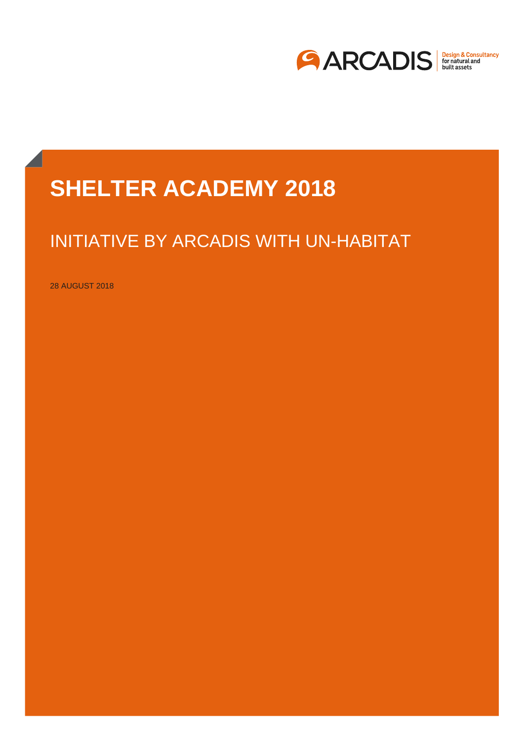

# **BACK AND ACTES ACTES GREATER AUADEMITZUR SHELTER ACADEMY 2018**

# INITIATIVE BY ARCADIS WITH UN-HABITAT

28 AUGUST 2018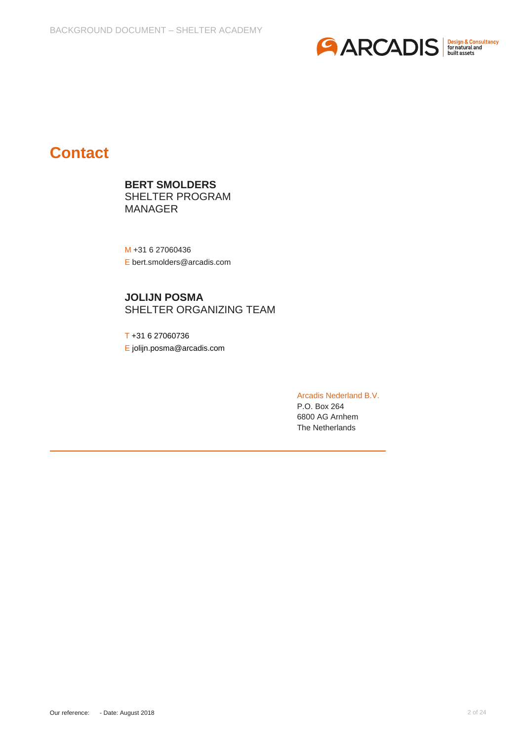

# **Contact**

**BERT SMOLDERS**  SHELTER PROGRAM MANAGER

M +31 6 27060436 E bert.smolders@arcadis.com

**JOLIJN POSMA** SHELTER ORGANIZING TEAM

T +31 6 27060736 E jolijn.posma@arcadis.com

> Arcadis Nederland B.V. P.O. Box 264 6800 AG Arnhem The Netherlands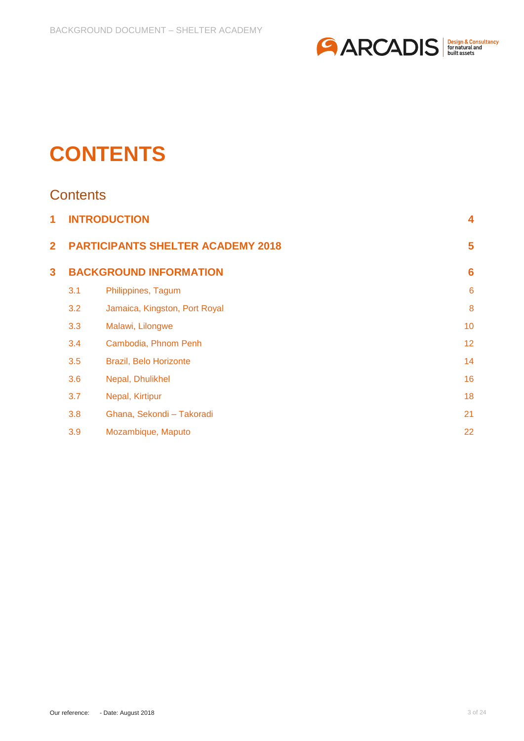

# **CONTENTS**

# **Contents**

| 1              | <b>INTRODUCTION</b>                      |                               |                 |
|----------------|------------------------------------------|-------------------------------|-----------------|
| $\overline{2}$ | <b>PARTICIPANTS SHELTER ACADEMY 2018</b> |                               | 5               |
| 3              | <b>BACKGROUND INFORMATION</b>            | $6\phantom{1}6$               |                 |
|                | 3.1                                      | Philippines, Tagum            | $6\phantom{1}6$ |
|                | 3.2                                      | Jamaica, Kingston, Port Royal | 8               |
|                | 3.3                                      | Malawi, Lilongwe              | 10              |
|                | 3.4                                      | Cambodia, Phnom Penh          | 12              |
|                | 3.5                                      | Brazil, Belo Horizonte        | 14              |
|                | 3.6                                      | Nepal, Dhulikhel              | 16              |
|                | 3.7                                      | Nepal, Kirtipur               | 18              |
|                | 3.8                                      | Ghana, Sekondi - Takoradi     | 21              |
|                | 3.9                                      | Mozambique, Maputo            | 22              |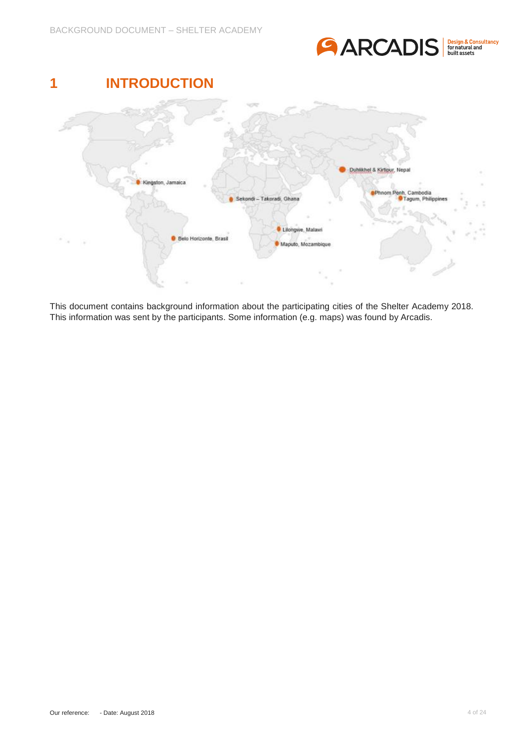

<span id="page-3-0"></span>

This document contains background information about the participating cities of the Shelter Academy 2018. This information was sent by the participants. Some information (e.g. maps) was found by Arcadis.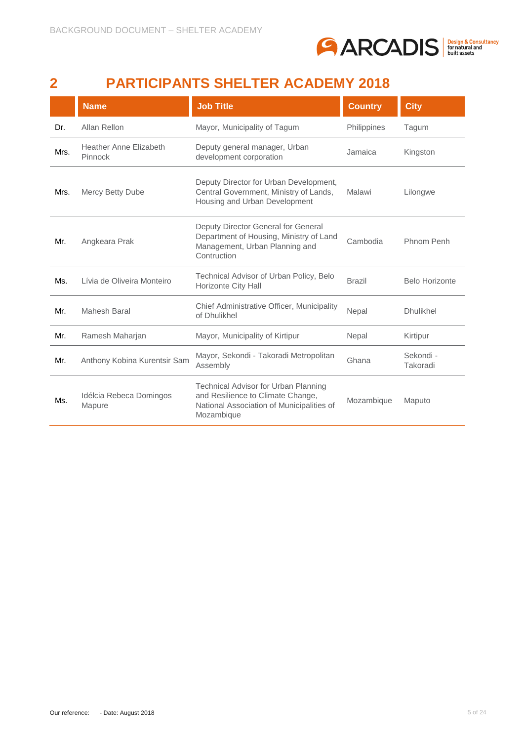

# <span id="page-4-0"></span>**2 PARTICIPANTS SHELTER ACADEMY 2018**

|      | <b>Name</b>                              | <b>Job Title</b>                                                                                                                            | <b>Country</b> | <b>City</b>           |
|------|------------------------------------------|---------------------------------------------------------------------------------------------------------------------------------------------|----------------|-----------------------|
| Dr.  | Allan Rellon                             | Mayor, Municipality of Tagum                                                                                                                | Philippines    | Tagum                 |
| Mrs. | <b>Heather Anne Elizabeth</b><br>Pinnock | Deputy general manager, Urban<br>development corporation                                                                                    | Jamaica        | Kingston              |
| Mrs. | <b>Mercy Betty Dube</b>                  | Deputy Director for Urban Development,<br>Central Government, Ministry of Lands,<br>Housing and Urban Development                           | Malawi         | Lilongwe              |
| Mr.  | Angkeara Prak                            | Deputy Director General for General<br>Department of Housing, Ministry of Land<br>Management, Urban Planning and<br>Contruction             | Cambodia       | Phnom Penh            |
| Ms.  | Lívia de Oliveira Monteiro               | Technical Advisor of Urban Policy, Belo<br>Horizonte City Hall                                                                              | <b>Brazil</b>  | <b>Belo Horizonte</b> |
| Mr.  | Mahesh Baral                             | Chief Administrative Officer, Municipality<br>of Dhulikhel                                                                                  | Nepal          | <b>Dhulikhel</b>      |
| Mr.  | Ramesh Maharjan                          | Mayor, Municipality of Kirtipur                                                                                                             | Nepal          | Kirtipur              |
| Mr.  | Anthony Kobina Kurentsir Sam             | Mayor, Sekondi - Takoradi Metropolitan<br>Assembly                                                                                          | Ghana          | Sekondi -<br>Takoradi |
| Ms.  | Idélcia Rebeca Domingos<br>Mapure        | <b>Technical Advisor for Urban Planning</b><br>and Resilience to Climate Change,<br>National Association of Municipalities of<br>Mozambique | Mozambique     | Maputo                |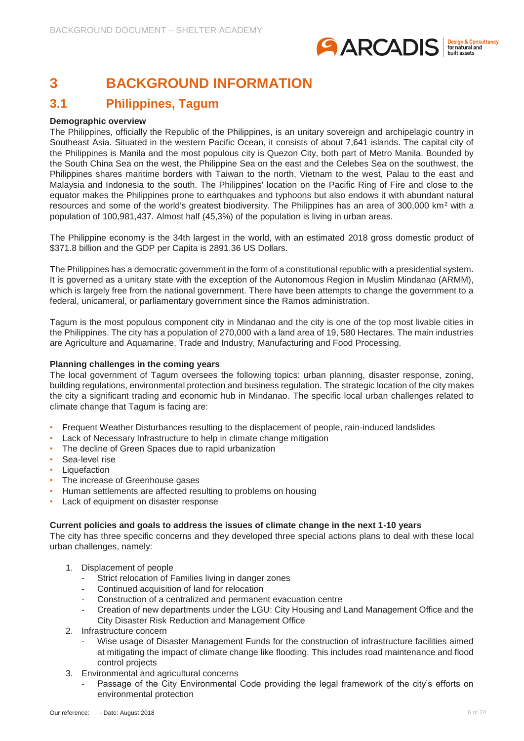

# <span id="page-5-0"></span>**3 BACKGROUND INFORMATION**

# <span id="page-5-1"></span>**3.1 Philippines, Tagum**

#### **Demographic overview**

The Philippines, officially the Republic of the Philippines, is an unitary sovereign and archipelagic country in Southeast Asia. Situated in the western Pacific Ocean, it consists of about 7,641 islands. The capital city of the Philippines is Manila and the most populous city is Quezon City, both part of Metro Manila. Bounded by the South China Sea on the west, the Philippine Sea on the east and the Celebes Sea on the southwest, the Philippines shares maritime borders with Taiwan to the north, Vietnam to the west, Palau to the east and Malaysia and Indonesia to the south. The Philippines' location on the Pacific Ring of Fire and close to the equator makes the Philippines prone to earthquakes and typhoons but also endows it with abundant natural resources and some of the world's greatest biodiversity. The Philippines has an area of 300,000 km<sup>2</sup> with a population of 100,981,437. Almost half (45,3%) of the population is living in urban areas.

The Philippine economy is the 34th largest in the world, with an estimated 2018 gross domestic product of \$371.8 billion and the GDP per Capita is 2891.36 US Dollars.

The Philippines has a democratic government in the form of a constitutional republic with a presidential system. It is governed as a unitary state with the exception of the Autonomous Region in Muslim Mindanao (ARMM), which is largely free from the national government. There have been attempts to change the government to a federal, unicameral, or parliamentary government since the Ramos administration.

Tagum is the most populous component city in Mindanao and the city is one of the top most livable cities in the Philippines. The city has a population of 270,000 with a land area of 19, 580 Hectares. The main industries are Agriculture and Aquamarine, Trade and Industry, Manufacturing and Food Processing.

#### **Planning challenges in the coming years**

The local government of Tagum oversees the following topics: urban planning, disaster response, zoning, building regulations, environmental protection and business regulation. The strategic location of the city makes the city a significant trading and economic hub in Mindanao. The specific local urban challenges related to climate change that Tagum is facing are:

- Frequent Weather Disturbances resulting to the displacement of people, rain-induced landslides
- Lack of Necessary Infrastructure to help in climate change mitigation
- The decline of Green Spaces due to rapid urbanization
- Sea-level rise
- **Liquefaction**
- The increase of Greenhouse gases
- Human settlements are affected resulting to problems on housing
- Lack of equipment on disaster response

#### **Current policies and goals to address the issues of climate change in the next 1-10 years**

The city has three specific concerns and they developed three special actions plans to deal with these local urban challenges, namely:

- 1. Displacement of people
	- Strict relocation of Families living in danger zones
	- Continued acquisition of land for relocation
	- Construction of a centralized and permanent evacuation centre
	- Creation of new departments under the LGU: City Housing and Land Management Office and the City Disaster Risk Reduction and Management Office
- 2. Infrastructure concern
	- Wise usage of Disaster Management Funds for the construction of infrastructure facilities aimed at mitigating the impact of climate change like flooding. This includes road maintenance and flood control projects
- 3. Environmental and agricultural concerns
	- Passage of the City Environmental Code providing the legal framework of the city's efforts on environmental protection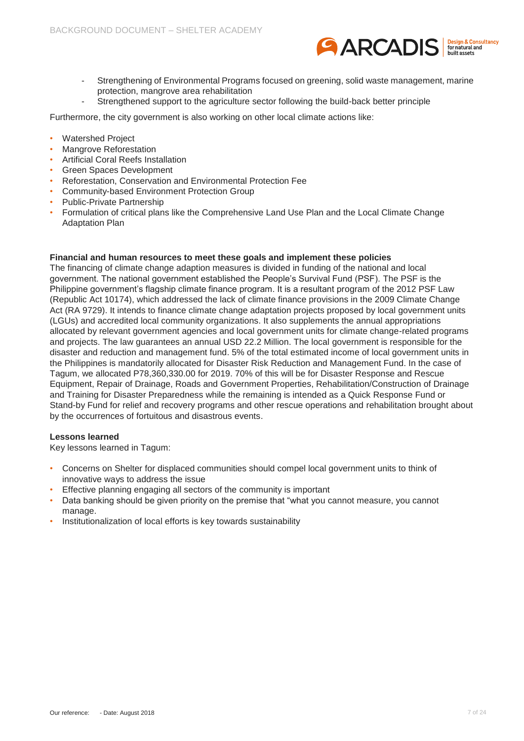

- Strengthening of Environmental Programs focused on greening, solid waste management, marine protection, mangrove area rehabilitation
- Strengthened support to the agriculture sector following the build-back better principle

Furthermore, the city government is also working on other local climate actions like:

- Watershed Project
- Mangrove Reforestation
- Artificial Coral Reefs Installation
- Green Spaces Development
- Reforestation, Conservation and Environmental Protection Fee
- Community-based Environment Protection Group
- Public-Private Partnership
- Formulation of critical plans like the Comprehensive Land Use Plan and the Local Climate Change Adaptation Plan

#### **Financial and human resources to meet these goals and implement these policies**

The financing of climate change adaption measures is divided in funding of the national and local government. The national government established the People's Survival Fund (PSF). The PSF is the Philippine government's flagship climate finance program. It is a resultant program of the 2012 PSF Law (Republic Act 10174), which addressed the lack of climate finance provisions in the 2009 Climate Change Act (RA 9729). It intends to finance climate change adaptation projects proposed by local government units (LGUs) and accredited local community organizations. It also supplements the annual appropriations allocated by relevant government agencies and local government units for climate change-related programs and projects. The law guarantees an annual USD 22.2 Million. The local government is responsible for the disaster and reduction and management fund. 5% of the total estimated income of local government units in the Philippines is mandatorily allocated for Disaster Risk Reduction and Management Fund. In the case of Tagum, we allocated P78,360,330.00 for 2019. 70% of this will be for Disaster Response and Rescue Equipment, Repair of Drainage, Roads and Government Properties, Rehabilitation/Construction of Drainage and Training for Disaster Preparedness while the remaining is intended as a Quick Response Fund or Stand-by Fund for relief and recovery programs and other rescue operations and rehabilitation brought about by the occurrences of fortuitous and disastrous events.

#### **Lessons learned**

Key lessons learned in Tagum:

- Concerns on Shelter for displaced communities should compel local government units to think of innovative ways to address the issue
- Effective planning engaging all sectors of the community is important
- Data banking should be given priority on the premise that "what you cannot measure, you cannot manage.
- Institutionalization of local efforts is key towards sustainability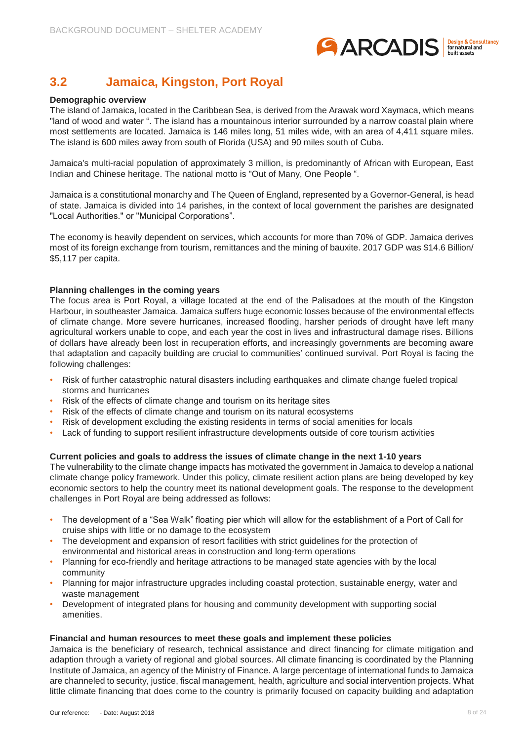

# <span id="page-7-0"></span>**3.2 Jamaica, Kingston, Port Royal**

#### **Demographic overview**

The island of Jamaica, located in the Caribbean Sea, is derived from the Arawak word Xaymaca, which means "land of wood and water ". The island has a mountainous interior surrounded by a narrow coastal plain where most settlements are located. Jamaica is 146 miles long, 51 miles wide, with an area of 4,411 square miles. The island is 600 miles away from south of Florida (USA) and 90 miles south of Cuba.

Jamaica's multi-racial population of approximately 3 million, is predominantly of African with European, East Indian and Chinese heritage. The national motto is "Out of Many, One People ".

Jamaica is a constitutional monarchy and The Queen of England, represented by a Governor-General, is head of state. Jamaica is divided into 14 parishes, in the context of local government the parishes are designated "Local Authorities." or "Municipal Corporations".

The economy is heavily dependent on services, which accounts for more than 70% of GDP. Jamaica derives most of its foreign exchange from tourism, remittances and the mining of bauxite. 2017 GDP was \$14.6 Billion/ \$5,117 per capita.

#### **Planning challenges in the coming years**

The focus area is Port Royal, a village located at the end of the Palisadoes at the mouth of the Kingston Harbour, in southeaster Jamaica. Jamaica suffers huge economic losses because of the environmental effects of climate change. More severe hurricanes, increased flooding, harsher periods of drought have left many agricultural workers unable to cope, and each year the cost in lives and infrastructural damage rises. Billions of dollars have already been lost in recuperation efforts, and increasingly governments are becoming aware that adaptation and capacity building are crucial to communities' continued survival. Port Royal is facing the following challenges:

- Risk of further catastrophic natural disasters including earthquakes and climate change fueled tropical storms and hurricanes
- Risk of the effects of climate change and tourism on its heritage sites
- Risk of the effects of climate change and tourism on its natural ecosystems
- Risk of development excluding the existing residents in terms of social amenities for locals
- Lack of funding to support resilient infrastructure developments outside of core tourism activities

#### **Current policies and goals to address the issues of climate change in the next 1-10 years**

The vulnerability to the climate change impacts has motivated the government in Jamaica to develop a national climate change policy framework. Under this policy, climate resilient action plans are being developed by key economic sectors to help the country meet its national development goals. The response to the development challenges in Port Royal are being addressed as follows:

- The development of a "Sea Walk" floating pier which will allow for the establishment of a Port of Call for cruise ships with little or no damage to the ecosystem
- The development and expansion of resort facilities with strict guidelines for the protection of environmental and historical areas in construction and long-term operations
- Planning for eco-friendly and heritage attractions to be managed state agencies with by the local community
- Planning for major infrastructure upgrades including coastal protection, sustainable energy, water and waste management
- Development of integrated plans for housing and community development with supporting social amenities.

#### **Financial and human resources to meet these goals and implement these policies**

Jamaica is the beneficiary of research, technical assistance and direct financing for climate mitigation and adaption through a variety of regional and global sources. All climate financing is coordinated by the Planning Institute of Jamaica, an agency of the Ministry of Finance. A large percentage of international funds to Jamaica are channeled to security, justice, fiscal management, health, agriculture and social intervention projects. What little climate financing that does come to the country is primarily focused on capacity building and adaptation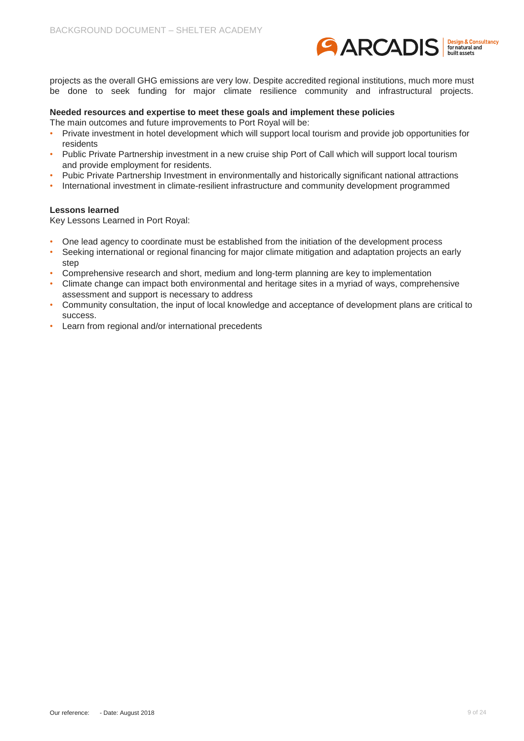

projects as the overall GHG emissions are very low. Despite accredited regional institutions, much more must be done to seek funding for major climate resilience community and infrastructural projects.

#### **Needed resources and expertise to meet these goals and implement these policies**

The main outcomes and future improvements to Port Royal will be:

- Private investment in hotel development which will support local tourism and provide job opportunities for residents
- Public Private Partnership investment in a new cruise ship Port of Call which will support local tourism and provide employment for residents.
- Pubic Private Partnership Investment in environmentally and historically significant national attractions
- International investment in climate-resilient infrastructure and community development programmed

#### **Lessons learned**

Key Lessons Learned in Port Royal:

- One lead agency to coordinate must be established from the initiation of the development process
- Seeking international or regional financing for major climate mitigation and adaptation projects an early step
- Comprehensive research and short, medium and long-term planning are key to implementation
- Climate change can impact both environmental and heritage sites in a myriad of ways, comprehensive assessment and support is necessary to address
- Community consultation, the input of local knowledge and acceptance of development plans are critical to success.
- Learn from regional and/or international precedents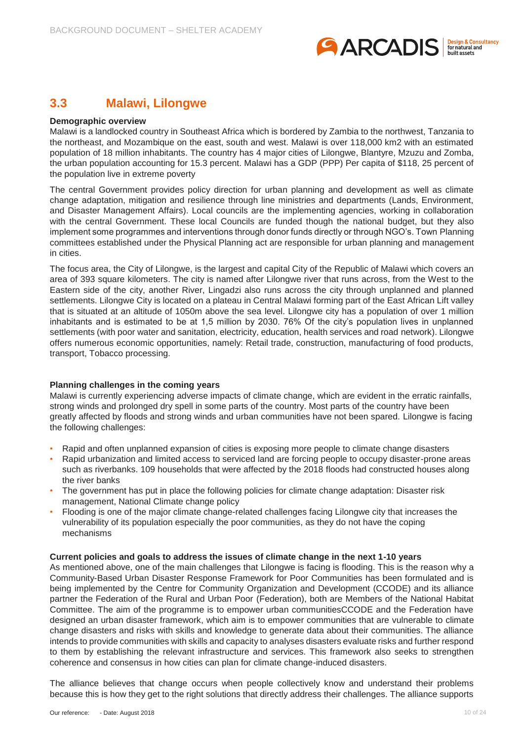

### <span id="page-9-0"></span>**3.3 Malawi, Lilongwe**

#### **Demographic overview**

Malawi is a landlocked country in Southeast Africa which is bordered by Zambia to the northwest, Tanzania to the northeast, and Mozambique on the east, south and west. Malawi is over 118,000 km2 with an estimated population of 18 million inhabitants. The country has 4 major cities of Lilongwe, Blantyre, Mzuzu and Zomba, the urban population accounting for 15.3 percent. Malawi has a GDP (PPP) Per capita of \$118, 25 percent of the population live in extreme poverty

The central Government provides policy direction for urban planning and development as well as climate change adaptation, mitigation and resilience through line ministries and departments (Lands, Environment, and Disaster Management Affairs). Local councils are the implementing agencies, working in collaboration with the central Government. These local Councils are funded though the national budget, but they also implement some programmes and interventions through donor funds directly or through NGO's. Town Planning committees established under the Physical Planning act are responsible for urban planning and management in cities.

The focus area, the City of Lilongwe, is the largest and capital City of the Republic of Malawi which covers an area of 393 square kilometers. The city is named after Lilongwe river that runs across, from the West to the Eastern side of the city, another River, Lingadzi also runs across the city through unplanned and planned settlements. Lilongwe City is located on a plateau in Central Malawi forming part of the East African Lift valley that is situated at an altitude of 1050m above the sea level. Lilongwe city has a population of over 1 million inhabitants and is estimated to be at 1,5 million by 2030. 76% Of the city's population lives in unplanned settlements (with poor water and sanitation, electricity, education, health services and road network). Lilongwe offers numerous economic opportunities, namely: Retail trade, construction, manufacturing of food products, transport, Tobacco processing.

#### **Planning challenges in the coming years**

Malawi is currently experiencing adverse impacts of climate change, which are evident in the erratic rainfalls, strong winds and prolonged dry spell in some parts of the country. Most parts of the country have been greatly affected by floods and strong winds and urban communities have not been spared. Lilongwe is facing the following challenges:

- Rapid and often unplanned expansion of cities is exposing more people to climate change disasters
- Rapid urbanization and limited access to serviced land are forcing people to occupy disaster-prone areas such as riverbanks. 109 households that were affected by the 2018 floods had constructed houses along the river banks
- The government has put in place the following policies for climate change adaptation: Disaster risk management, National Climate change policy
- Flooding is one of the major climate change-related challenges facing Lilongwe city that increases the vulnerability of its population especially the poor communities, as they do not have the coping mechanisms

#### **Current policies and goals to address the issues of climate change in the next 1-10 years**

As mentioned above, one of the main challenges that Lilongwe is facing is flooding. This is the reason why a Community-Based Urban Disaster Response Framework for Poor Communities has been formulated and is being implemented by the Centre for Community Organization and Development (CCODE) and its alliance partner the Federation of the Rural and Urban Poor (Federation), both are Members of the National Habitat Committee. The aim of the programme is to empower urban communitiesCCODE and the Federation have designed an urban disaster framework, which aim is to empower communities that are vulnerable to climate change disasters and risks with skills and knowledge to generate data about their communities. The alliance intends to provide communities with skills and capacity to analyses disasters evaluate risks and further respond to them by establishing the relevant infrastructure and services. This framework also seeks to strengthen coherence and consensus in how cities can plan for climate change-induced disasters.

The alliance believes that change occurs when people collectively know and understand their problems because this is how they get to the right solutions that directly address their challenges. The alliance supports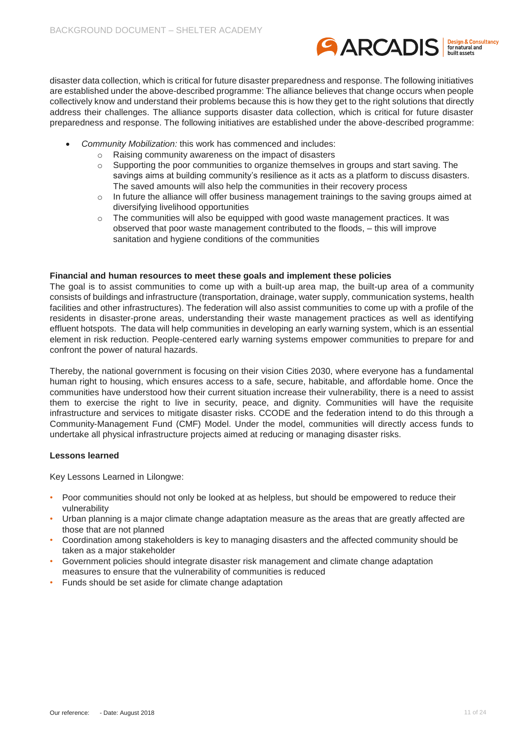

disaster data collection, which is critical for future disaster preparedness and response. The following initiatives are established under the above-described programme: The alliance believes that change occurs when people collectively know and understand their problems because this is how they get to the right solutions that directly address their challenges. The alliance supports disaster data collection, which is critical for future disaster preparedness and response. The following initiatives are established under the above-described programme:

- *Community Mobilization:* this work has commenced and includes:
	- o Raising community awareness on the impact of disasters
	- $\circ$  Supporting the poor communities to organize themselves in groups and start saving. The savings aims at building community's resilience as it acts as a platform to discuss disasters. The saved amounts will also help the communities in their recovery process
	- $\circ$  In future the alliance will offer business management trainings to the saving groups aimed at diversifying livelihood opportunities
	- o The communities will also be equipped with good waste management practices. It was observed that poor waste management contributed to the floods, – this will improve sanitation and hygiene conditions of the communities

#### **Financial and human resources to meet these goals and implement these policies**

The goal is to assist communities to come up with a built-up area map, the built-up area of a community consists of buildings and infrastructure (transportation, drainage, water supply, communication systems, health facilities and other infrastructures). The federation will also assist communities to come up with a profile of the residents in disaster-prone areas, understanding their waste management practices as well as identifying effluent hotspots. The data will help communities in developing an early warning system, which is an essential element in risk reduction. People-centered early warning systems empower communities to prepare for and confront the power of natural hazards.

Thereby, the national government is focusing on their vision Cities 2030, where everyone has a fundamental human right to housing, which ensures access to a safe, secure, habitable, and affordable home. Once the communities have understood how their current situation increase their vulnerability, there is a need to assist them to exercise the right to live in security, peace, and dignity. Communities will have the requisite infrastructure and services to mitigate disaster risks. CCODE and the federation intend to do this through a Community-Management Fund (CMF) Model. Under the model, communities will directly access funds to undertake all physical infrastructure projects aimed at reducing or managing disaster risks.

#### **Lessons learned**

Key Lessons Learned in Lilongwe:

- Poor communities should not only be looked at as helpless, but should be empowered to reduce their vulnerability
- Urban planning is a major climate change adaptation measure as the areas that are greatly affected are those that are not planned
- Coordination among stakeholders is key to managing disasters and the affected community should be taken as a major stakeholder
- Government policies should integrate disaster risk management and climate change adaptation measures to ensure that the vulnerability of communities is reduced
- Funds should be set aside for climate change adaptation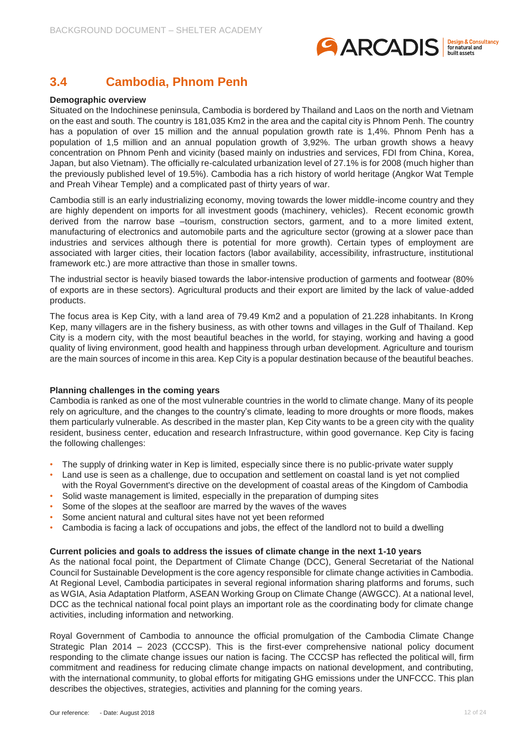

# <span id="page-11-0"></span>**3.4 Cambodia, Phnom Penh**

#### **Demographic overview**

Situated on the Indochinese peninsula, Cambodia is bordered by Thailand and Laos on the north and Vietnam on the east and south. The country is 181,035 Km2 in the area and the capital city is Phnom Penh. The country has a population of over 15 million and the annual population growth rate is 1,4%. Phnom Penh has a population of 1,5 million and an annual population growth of 3,92%. The urban growth shows a heavy concentration on Phnom Penh and vicinity (based mainly on industries and services, FDI from China, Korea, Japan, but also Vietnam). The officially re-calculated urbanization level of 27.1% is for 2008 (much higher than the previously published level of 19.5%). Cambodia has a rich history of world heritage (Angkor Wat Temple and Preah Vihear Temple) and a complicated past of thirty years of war.

Cambodia still is an early industrializing economy, moving towards the lower middle-income country and they are highly dependent on imports for all investment goods (machinery, vehicles). Recent economic growth derived from the narrow base –tourism, construction sectors, garment, and to a more limited extent, manufacturing of electronics and automobile parts and the agriculture sector (growing at a slower pace than industries and services although there is potential for more growth). Certain types of employment are associated with larger cities, their location factors (labor availability, accessibility, infrastructure, institutional framework etc.) are more attractive than those in smaller towns.

The industrial sector is heavily biased towards the labor-intensive production of garments and footwear (80% of exports are in these sectors). Agricultural products and their export are limited by the lack of value-added products.

The focus area is Kep City, with a land area of 79.49 Km2 and a population of 21.228 inhabitants. In Krong Kep, many villagers are in the fishery business, as with other towns and villages in the Gulf of Thailand. Kep City is a modern city, with the most beautiful beaches in the world, for staying, working and having a good quality of living environment, good health and happiness through urban development. Agriculture and tourism are the main sources of income in this area. Kep City is a popular destination because of the beautiful beaches.

#### **Planning challenges in the coming years**

Cambodia is ranked as one of the most vulnerable countries in the world to climate change. Many of its people rely on agriculture, and the changes to the country's climate, leading to more droughts or more floods, makes them particularly vulnerable. As described in the master plan, Kep City wants to be a green city with the quality resident, business center, education and research Infrastructure, within good governance. Kep City is facing the following challenges:

- The supply of drinking water in Kep is limited, especially since there is no public-private water supply
- Land use is seen as a challenge, due to occupation and settlement on coastal land is yet not complied with the Royal Government's directive on the development of coastal areas of the Kingdom of Cambodia
- Solid waste management is limited, especially in the preparation of dumping sites
- Some of the slopes at the seafloor are marred by the waves of the waves
- Some ancient natural and cultural sites have not yet been reformed
- Cambodia is facing a lack of occupations and jobs, the effect of the landlord not to build a dwelling

#### **Current policies and goals to address the issues of climate change in the next 1-10 years**

As the national focal point, the Department of Climate Change (DCC), General Secretariat of the National Council for Sustainable Development is the core agency responsible for climate change activities in Cambodia. At Regional Level, Cambodia participates in several regional information sharing platforms and forums, such as WGIA, Asia Adaptation Platform, ASEAN Working Group on Climate Change (AWGCC). At a national level, DCC as the technical national focal point plays an important role as the coordinating body for climate change activities, including information and networking.

Royal Government of Cambodia to announce the official promulgation of the Cambodia Climate Change Strategic Plan 2014 – 2023 (CCCSP). This is the first-ever comprehensive national policy document responding to the climate change issues our nation is facing. The CCCSP has reflected the political will, firm commitment and readiness for reducing climate change impacts on national development, and contributing, with the international community, to global efforts for mitigating GHG emissions under the UNFCCC. This plan describes the objectives, strategies, activities and planning for the coming years.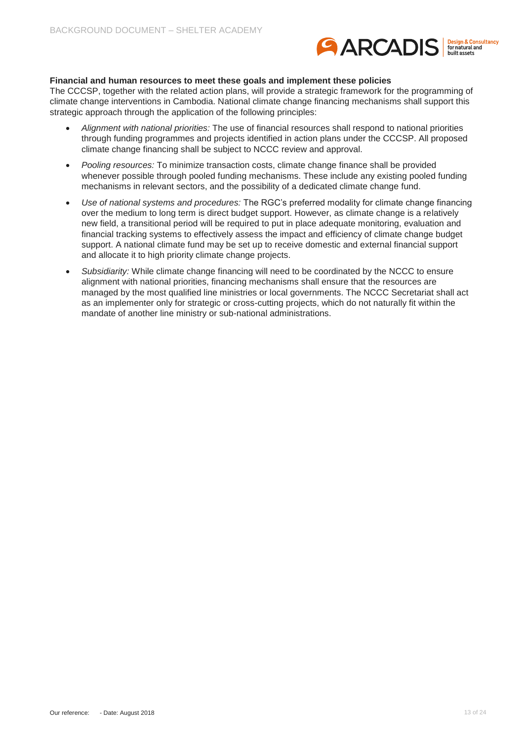

#### **Financial and human resources to meet these goals and implement these policies**

The CCCSP, together with the related action plans, will provide a strategic framework for the programming of climate change interventions in Cambodia. National climate change financing mechanisms shall support this strategic approach through the application of the following principles:

- *Alignment with national priorities:* The use of financial resources shall respond to national priorities through funding programmes and projects identified in action plans under the CCCSP. All proposed climate change financing shall be subject to NCCC review and approval.
- *Pooling resources:* To minimize transaction costs, climate change finance shall be provided whenever possible through pooled funding mechanisms. These include any existing pooled funding mechanisms in relevant sectors, and the possibility of a dedicated climate change fund.
- *Use of national systems and procedures:* The RGC's preferred modality for climate change financing over the medium to long term is direct budget support. However, as climate change is a relatively new field, a transitional period will be required to put in place adequate monitoring, evaluation and financial tracking systems to effectively assess the impact and efficiency of climate change budget support. A national climate fund may be set up to receive domestic and external financial support and allocate it to high priority climate change projects.
- Subsidiarity: While climate change financing will need to be coordinated by the NCCC to ensure alignment with national priorities, financing mechanisms shall ensure that the resources are managed by the most qualified line ministries or local governments. The NCCC Secretariat shall act as an implementer only for strategic or cross-cutting projects, which do not naturally fit within the mandate of another line ministry or sub-national administrations.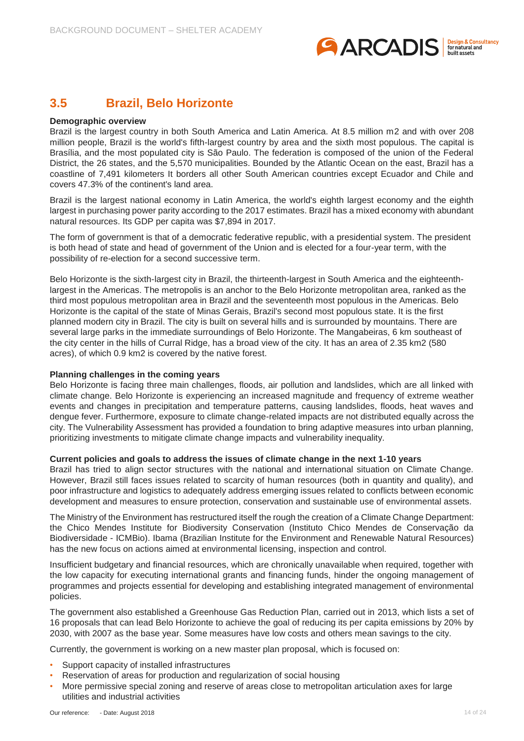

### <span id="page-13-0"></span>**3.5 Brazil, Belo Horizonte**

#### **Demographic overview**

Brazil is the largest country in both South America and Latin America. At 8.5 million m2 and with over 208 million people, Brazil is the world's fifth-largest country by area and the sixth most populous. The capital is Brasília, and the most populated city is São Paulo. The federation is composed of the union of the Federal District, the 26 states, and the 5,570 municipalities. Bounded by the Atlantic Ocean on the east, Brazil has a coastline of 7,491 kilometers It borders all other South American countries except Ecuador and Chile and covers 47.3% of the continent's land area.

Brazil is the largest national economy in Latin America, the world's eighth largest economy and the eighth largest in purchasing power parity according to the 2017 estimates. Brazil has a mixed economy with abundant natural resources. Its GDP per capita was \$7,894 in 2017.

The form of government is that of a democratic federative republic, with a presidential system. The president is both head of state and head of government of the Union and is elected for a four-year term, with the possibility of re-election for a second successive term.

Belo Horizonte is the sixth-largest city in Brazil, the thirteenth-largest in South America and the eighteenthlargest in the Americas. The metropolis is an anchor to the Belo Horizonte metropolitan area, ranked as the third most populous metropolitan area in Brazil and the seventeenth most populous in the Americas. Belo Horizonte is the capital of the state of Minas Gerais, Brazil's second most populous state. It is the first planned modern city in Brazil. The city is built on several hills and is surrounded by mountains. There are several large parks in the immediate surroundings of Belo Horizonte. The Mangabeiras, 6 km southeast of the city center in the hills of Curral Ridge, has a broad view of the city. It has an area of 2.35 km2 (580 acres), of which 0.9 km2 is covered by the native forest.

#### **Planning challenges in the coming years**

Belo Horizonte is facing three main challenges, floods, air pollution and landslides, which are all linked with climate change. Belo Horizonte is experiencing an increased magnitude and frequency of extreme weather events and changes in precipitation and temperature patterns, causing landslides, floods, heat waves and dengue fever. Furthermore, exposure to climate change-related impacts are not distributed equally across the city. The Vulnerability Assessment has provided a foundation to bring adaptive measures into urban planning, prioritizing investments to mitigate climate change impacts and vulnerability inequality.

#### **Current policies and goals to address the issues of climate change in the next 1-10 years**

Brazil has tried to align sector structures with the national and international situation on Climate Change. However, Brazil still faces issues related to scarcity of human resources (both in quantity and quality), and poor infrastructure and logistics to adequately address emerging issues related to conflicts between economic development and measures to ensure protection, conservation and sustainable use of environmental assets.

The Ministry of the Environment has restructured itself the rough the creation of a Climate Change Department: the Chico Mendes Institute for Biodiversity Conservation (Instituto Chico Mendes de Conservação da Biodiversidade - ICMBio). Ibama (Brazilian Institute for the Environment and Renewable Natural Resources) has the new focus on actions aimed at environmental licensing, inspection and control.

Insufficient budgetary and financial resources, which are chronically unavailable when required, together with the low capacity for executing international grants and financing funds, hinder the ongoing management of programmes and projects essential for developing and establishing integrated management of environmental policies.

The government also established a Greenhouse Gas Reduction Plan, carried out in 2013, which lists a set of 16 proposals that can lead Belo Horizonte to achieve the goal of reducing its per capita emissions by 20% by 2030, with 2007 as the base year. Some measures have low costs and others mean savings to the city.

Currently, the government is working on a new master plan proposal, which is focused on:

- Support capacity of installed infrastructures
- Reservation of areas for production and regularization of social housing
- More permissive special zoning and reserve of areas close to metropolitan articulation axes for large utilities and industrial activities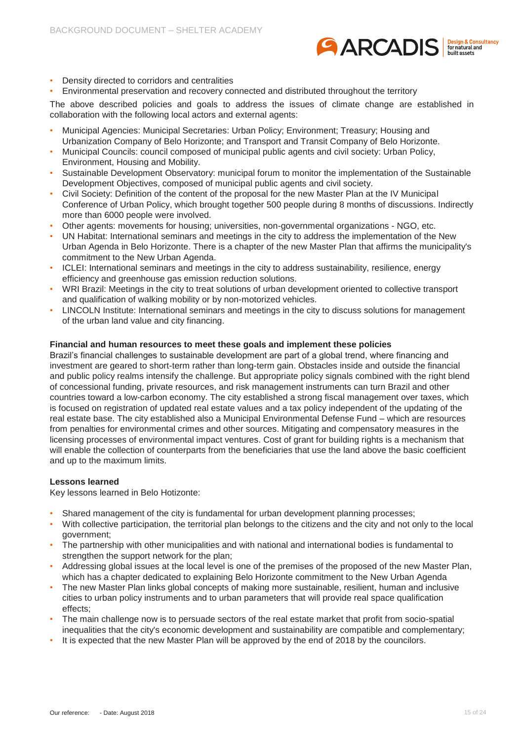

- Density directed to corridors and centralities
- Environmental preservation and recovery connected and distributed throughout the territory

The above described policies and goals to address the issues of climate change are established in collaboration with the following local actors and external agents:

- Municipal Agencies: Municipal Secretaries: Urban Policy; Environment; Treasury; Housing and Urbanization Company of Belo Horizonte; and Transport and Transit Company of Belo Horizonte.
- Municipal Councils: council composed of municipal public agents and civil society: Urban Policy, Environment, Housing and Mobility.
- Sustainable Development Observatory: municipal forum to monitor the implementation of the Sustainable Development Objectives, composed of municipal public agents and civil society.
- Civil Society: Definition of the content of the proposal for the new Master Plan at the IV Municipal Conference of Urban Policy, which brought together 500 people during 8 months of discussions. Indirectly more than 6000 people were involved.
- Other agents: movements for housing; universities, non-governmental organizations NGO, etc.
- UN Habitat: International seminars and meetings in the city to address the implementation of the New Urban Agenda in Belo Horizonte. There is a chapter of the new Master Plan that affirms the municipality's commitment to the New Urban Agenda.
- ICLEI: International seminars and meetings in the city to address sustainability, resilience, energy efficiency and greenhouse gas emission reduction solutions.
- WRI Brazil: Meetings in the city to treat solutions of urban development oriented to collective transport and qualification of walking mobility or by non-motorized vehicles.
- LINCOLN Institute: International seminars and meetings in the city to discuss solutions for management of the urban land value and city financing.

#### **Financial and human resources to meet these goals and implement these policies**

Brazil's financial challenges to sustainable development are part of a global trend, where financing and investment are geared to short-term rather than long-term gain. Obstacles inside and outside the financial and public policy realms intensify the challenge. But appropriate policy signals combined with the right blend of concessional funding, private resources, and risk management instruments can turn Brazil and other countries toward a low-carbon economy. The city established a strong fiscal management over taxes, which is focused on registration of updated real estate values and a tax policy independent of the updating of the real estate base. The city established also a Municipal Environmental Defense Fund – which are resources from penalties for environmental crimes and other sources. Mitigating and compensatory measures in the licensing processes of environmental impact ventures. Cost of grant for building rights is a mechanism that will enable the collection of counterparts from the beneficiaries that use the land above the basic coefficient and up to the maximum limits.

#### **Lessons learned**

Key lessons learned in Belo Hotizonte:

- Shared management of the city is fundamental for urban development planning processes;
- With collective participation, the territorial plan belongs to the citizens and the city and not only to the local government;
- The partnership with other municipalities and with national and international bodies is fundamental to strengthen the support network for the plan:
- Addressing global issues at the local level is one of the premises of the proposed of the new Master Plan, which has a chapter dedicated to explaining Belo Horizonte commitment to the New Urban Agenda
- The new Master Plan links global concepts of making more sustainable, resilient, human and inclusive cities to urban policy instruments and to urban parameters that will provide real space qualification effects;
- The main challenge now is to persuade sectors of the real estate market that profit from socio-spatial inequalities that the city's economic development and sustainability are compatible and complementary;
- It is expected that the new Master Plan will be approved by the end of 2018 by the councilors.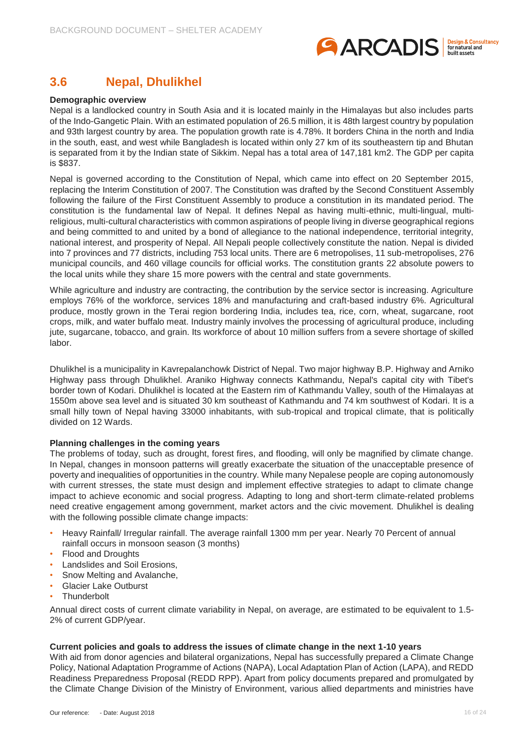

# <span id="page-15-0"></span>**3.6 Nepal, Dhulikhel**

#### **Demographic overview**

Nepal is a landlocked country in South Asia and it is located mainly in the Himalayas but also includes parts of the Indo-Gangetic Plain. With an estimated population of 26.5 million, it is 48th largest country by population and 93th largest country by area. The population growth rate is 4.78%. It borders China in the north and India in the south, east, and west while Bangladesh is located within only 27 km of its southeastern tip and Bhutan is separated from it by the Indian state of Sikkim. Nepal has a total area of 147,181 km2. The GDP per capita is \$837.

Nepal is governed according to the Constitution of Nepal, which came into effect on 20 September 2015, replacing the Interim Constitution of 2007. The Constitution was drafted by the Second Constituent Assembly following the failure of the First Constituent Assembly to produce a constitution in its mandated period. The constitution is the fundamental law of Nepal. It defines Nepal as having multi-ethnic, multi-lingual, multireligious, multi-cultural characteristics with common aspirations of people living in diverse geographical regions and being committed to and united by a bond of allegiance to the national independence, territorial integrity, national interest, and prosperity of Nepal. All Nepali people collectively constitute the nation. Nepal is divided into 7 provinces and 77 districts, including 753 local units. There are 6 metropolises, 11 sub-metropolises, 276 municipal councils, and 460 village councils for official works. The constitution grants 22 absolute powers to the local units while they share 15 more powers with the central and state governments.

While agriculture and industry are contracting, the contribution by the service sector is increasing. Agriculture employs 76% of the workforce, services 18% and manufacturing and craft-based industry 6%. Agricultural produce, mostly grown in the Terai region bordering India, includes tea, rice, corn, wheat, sugarcane, root crops, milk, and water buffalo meat. Industry mainly involves the processing of agricultural produce, including jute, sugarcane, tobacco, and grain. Its workforce of about 10 million suffers from a severe shortage of skilled labor.

Dhulikhel is a municipality in Kavrepalanchowk District of Nepal. Two major highway B.P. Highway and Arniko Highway pass through Dhulikhel. Araniko Highway connects Kathmandu, Nepal's capital city with Tibet's border town of Kodari. Dhulikhel is located at the Eastern rim of Kathmandu Valley, south of the Himalayas at 1550m above sea level and is situated 30 km southeast of Kathmandu and 74 km southwest of Kodari. It is a small hilly town of Nepal having 33000 inhabitants, with sub-tropical and tropical climate, that is politically divided on 12 Wards.

#### **Planning challenges in the coming years**

The problems of today, such as drought, forest fires, and flooding, will only be magnified by climate change. In Nepal, changes in monsoon patterns will greatly exacerbate the situation of the unacceptable presence of poverty and inequalities of opportunities in the country. While many Nepalese people are coping autonomously with current stresses, the state must design and implement effective strategies to adapt to climate change impact to achieve economic and social progress. Adapting to long and short-term climate-related problems need creative engagement among government, market actors and the civic movement. Dhulikhel is dealing with the following possible climate change impacts:

- Heavy Rainfall/ Irregular rainfall. The average rainfall 1300 mm per year. Nearly 70 Percent of annual rainfall occurs in monsoon season (3 months)
- Flood and Droughts
- Landslides and Soil Erosions,
- Snow Melting and Avalanche.
- Glacier Lake Outburst
- **Thunderbolt**

Annual direct costs of current climate variability in Nepal, on average, are estimated to be equivalent to 1.5- 2% of current GDP/year.

#### **Current policies and goals to address the issues of climate change in the next 1-10 years**

With aid from donor agencies and bilateral organizations, Nepal has successfully prepared a Climate Change Policy, National Adaptation Programme of Actions (NAPA), Local Adaptation Plan of Action (LAPA), and REDD Readiness Preparedness Proposal (REDD RPP). Apart from policy documents prepared and promulgated by the Climate Change Division of the Ministry of Environment, various allied departments and ministries have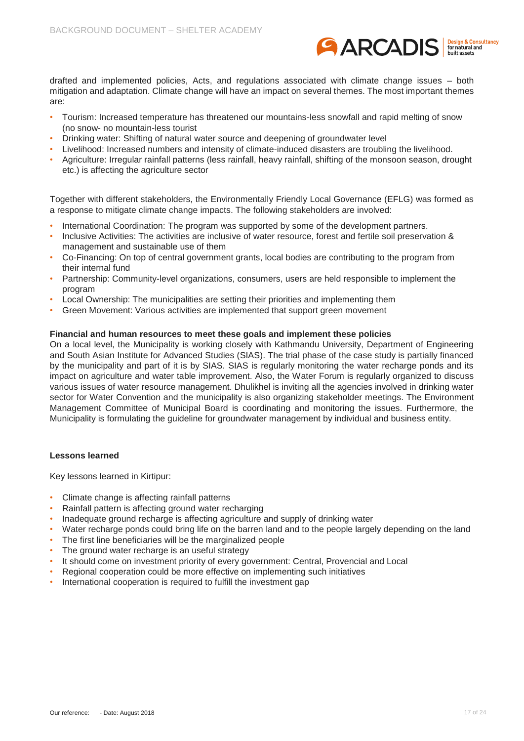

drafted and implemented policies, Acts, and regulations associated with climate change issues – both mitigation and adaptation. Climate change will have an impact on several themes. The most important themes are:

- Tourism: Increased temperature has threatened our mountains-less snowfall and rapid melting of snow (no snow- no mountain-less tourist
- Drinking water: Shifting of natural water source and deepening of groundwater level
- Livelihood: Increased numbers and intensity of climate-induced disasters are troubling the livelihood.
- Agriculture: Irregular rainfall patterns (less rainfall, heavy rainfall, shifting of the monsoon season, drought etc.) is affecting the agriculture sector

Together with different stakeholders, the Environmentally Friendly Local Governance (EFLG) was formed as a response to mitigate climate change impacts. The following stakeholders are involved:

- International Coordination: The program was supported by some of the development partners.
- Inclusive Activities: The activities are inclusive of water resource, forest and fertile soil preservation & management and sustainable use of them
- Co-Financing: On top of central government grants, local bodies are contributing to the program from their internal fund
- Partnership: Community-level organizations, consumers, users are held responsible to implement the program
- Local Ownership: The municipalities are setting their priorities and implementing them
- Green Movement: Various activities are implemented that support green movement

#### **Financial and human resources to meet these goals and implement these policies**

On a local level, the Municipality is working closely with Kathmandu University, Department of Engineering and South Asian Institute for Advanced Studies (SIAS). The trial phase of the case study is partially financed by the municipality and part of it is by SIAS. SIAS is regularly monitoring the water recharge ponds and its impact on agriculture and water table improvement. Also, the Water Forum is regularly organized to discuss various issues of water resource management. Dhulikhel is inviting all the agencies involved in drinking water sector for Water Convention and the municipality is also organizing stakeholder meetings. The Environment Management Committee of Municipal Board is coordinating and monitoring the issues. Furthermore, the Municipality is formulating the guideline for groundwater management by individual and business entity.

#### **Lessons learned**

Key lessons learned in Kirtipur:

- Climate change is affecting rainfall patterns
- Rainfall pattern is affecting ground water recharging
- Inadequate ground recharge is affecting agriculture and supply of drinking water
- Water recharge ponds could bring life on the barren land and to the people largely depending on the land
- The first line beneficiaries will be the marginalized people
- The ground water recharge is an useful strategy
- It should come on investment priority of every government: Central, Provencial and Local
- Regional cooperation could be more effective on implementing such initiatives
- International cooperation is required to fulfill the investment gap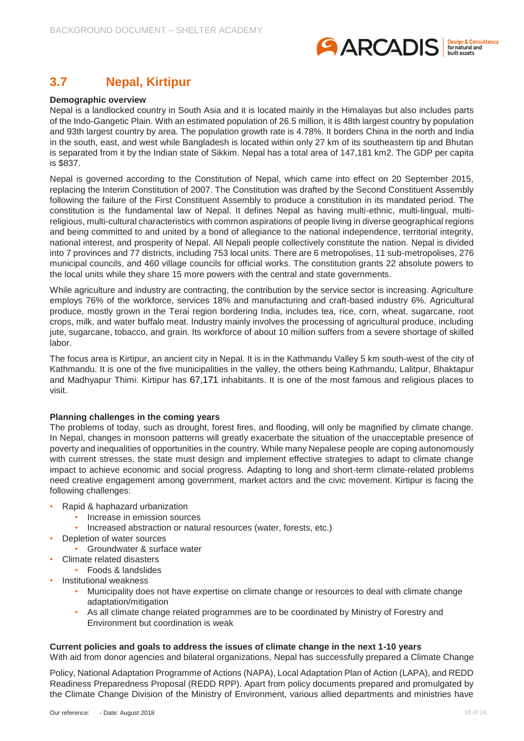

# <span id="page-17-0"></span>**3.7 Nepal, Kirtipur**

#### **Demographic overview**

Nepal is a landlocked country in South Asia and it is located mainly in the Himalayas but also includes parts of the Indo-Gangetic Plain. With an estimated population of 26.5 million, it is 48th largest country by population and 93th largest country by area. The population growth rate is 4.78%. It borders China in the north and India in the south, east, and west while Bangladesh is located within only 27 km of its southeastern tip and Bhutan is separated from it by the Indian state of Sikkim. Nepal has a total area of 147,181 km2. The GDP per capita is \$837.

Nepal is governed according to the Constitution of Nepal, which came into effect on 20 September 2015, replacing the Interim Constitution of 2007. The Constitution was drafted by the Second Constituent Assembly following the failure of the First Constituent Assembly to produce a constitution in its mandated period. The constitution is the fundamental law of Nepal. It defines Nepal as having multi-ethnic, multi-lingual, multireligious, multi-cultural characteristics with common aspirations of people living in diverse geographical regions and being committed to and united by a bond of allegiance to the national independence, territorial integrity, national interest, and prosperity of Nepal. All Nepali people collectively constitute the nation. Nepal is divided into 7 provinces and 77 districts, including 753 local units. There are 6 metropolises, 11 sub-metropolises, 276 municipal councils, and 460 village councils for official works. The constitution grants 22 absolute powers to the local units while they share 15 more powers with the central and state governments.

While agriculture and industry are contracting, the contribution by the service sector is increasing. Agriculture employs 76% of the workforce, services 18% and manufacturing and craft-based industry 6%. Agricultural produce, mostly grown in the Terai region bordering India, includes tea, rice, corn, wheat, sugarcane, root crops, milk, and water buffalo meat. Industry mainly involves the processing of agricultural produce, including jute, sugarcane, tobacco, and grain. Its workforce of about 10 million suffers from a severe shortage of skilled labor.

The focus area is Kirtipur, an ancient city in Nepal. It is in the Kathmandu Valley 5 km south-west of the city of Kathmandu. It is one of the five municipalities in the valley, the others being Kathmandu, Lalitpur, Bhaktapur and Madhyapur Thimi. Kirtipur has 67,171 inhabitants. It is one of the most famous and religious places to visit.

#### **Planning challenges in the coming years**

The problems of today, such as drought, forest fires, and flooding, will only be magnified by climate change. In Nepal, changes in monsoon patterns will greatly exacerbate the situation of the unacceptable presence of poverty and inequalities of opportunities in the country. While many Nepalese people are coping autonomously with current stresses, the state must design and implement effective strategies to adapt to climate change impact to achieve economic and social progress. Adapting to long and short-term climate-related problems need creative engagement among government, market actors and the civic movement. Kirtipur is facing the following challenges:

- Rapid & haphazard urbanization
	- Increase in emission sources
	- Increased abstraction or natural resources (water, forests, etc.)
- Depletion of water sources
	- Groundwater & surface water
- Climate related disasters
	- Foods & landslides
- Institutional weakness
	- Municipality does not have expertise on climate change or resources to deal with climate change adaptation/mitigation
	- As all climate change related programmes are to be coordinated by Ministry of Forestry and Environment but coordination is weak

#### **Current policies and goals to address the issues of climate change in the next 1-10 years**

With aid from donor agencies and bilateral organizations, Nepal has successfully prepared a Climate Change

Policy, National Adaptation Programme of Actions (NAPA), Local Adaptation Plan of Action (LAPA), and REDD Readiness Preparedness Proposal (REDD RPP). Apart from policy documents prepared and promulgated by the Climate Change Division of the Ministry of Environment, various allied departments and ministries have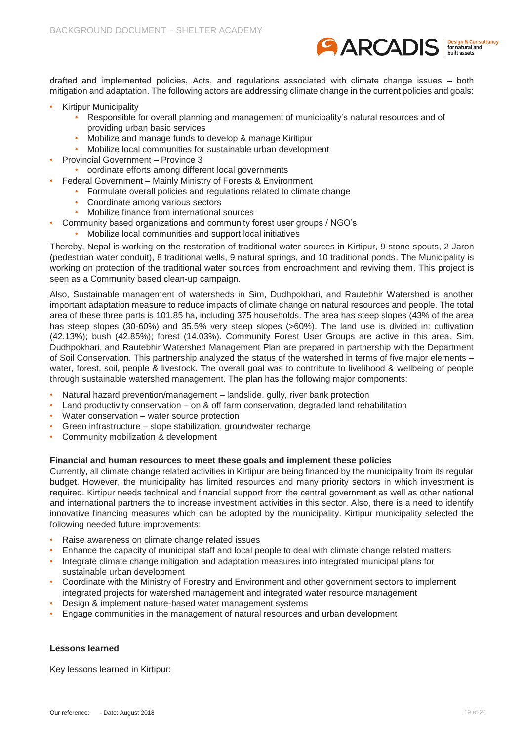

drafted and implemented policies, Acts, and regulations associated with climate change issues – both mitigation and adaptation. The following actors are addressing climate change in the current policies and goals:

- Kirtipur Municipality
	- Responsible for overall planning and management of municipality's natural resources and of providing urban basic services
	- Mobilize and manage funds to develop & manage Kiritipur
	- Mobilize local communities for sustainable urban development
- Provincial Government Province 3
	- oordinate efforts among different local governments
	- Federal Government Mainly Ministry of Forests & Environment
		- Formulate overall policies and regulations related to climate change
		- Coordinate among various sectors
		- Mobilize finance from international sources
- Community based organizations and community forest user groups / NGO's
	- Mobilize local communities and support local initiatives

Thereby, Nepal is working on the restoration of traditional water sources in Kirtipur, 9 stone spouts, 2 Jaron (pedestrian water conduit), 8 traditional wells, 9 natural springs, and 10 traditional ponds. The Municipality is working on protection of the traditional water sources from encroachment and reviving them. This project is seen as a Community based clean-up campaign.

Also, Sustainable management of watersheds in Sim, Dudhpokhari, and Rautebhir Watershed is another important adaptation measure to reduce impacts of climate change on natural resources and people. The total area of these three parts is 101.85 ha, including 375 households. The area has steep slopes (43% of the area has steep slopes (30-60%) and 35.5% very steep slopes (>60%). The land use is divided in: cultivation (42.13%); bush (42.85%); forest (14.03%). Community Forest User Groups are active in this area. Sim, Dudhpokhari, and Rautebhir Watershed Management Plan are prepared in partnership with the Department of Soil Conservation. This partnership analyzed the status of the watershed in terms of five major elements – water, forest, soil, people & livestock. The overall goal was to contribute to livelihood & wellbeing of people through sustainable watershed management. The plan has the following major components:

- Natural hazard prevention/management landslide, gully, river bank protection
- Land productivity conservation on & off farm conservation, degraded land rehabilitation
- Water conservation water source protection
- Green infrastructure slope stabilization, groundwater recharge
- Community mobilization & development

#### **Financial and human resources to meet these goals and implement these policies**

Currently, all climate change related activities in Kirtipur are being financed by the municipality from its regular budget. However, the municipality has limited resources and many priority sectors in which investment is required. Kirtipur needs technical and financial support from the central government as well as other national and international partners the to increase investment activities in this sector. Also, there is a need to identify innovative financing measures which can be adopted by the municipality. Kirtipur municipality selected the following needed future improvements:

- Raise awareness on climate change related issues
- Enhance the capacity of municipal staff and local people to deal with climate change related matters
- Integrate climate change mitigation and adaptation measures into integrated municipal plans for sustainable urban development
- Coordinate with the Ministry of Forestry and Environment and other government sectors to implement integrated projects for watershed management and integrated water resource management
- Design & implement nature-based water management systems
- Engage communities in the management of natural resources and urban development

#### **Lessons learned**

Key lessons learned in Kirtipur: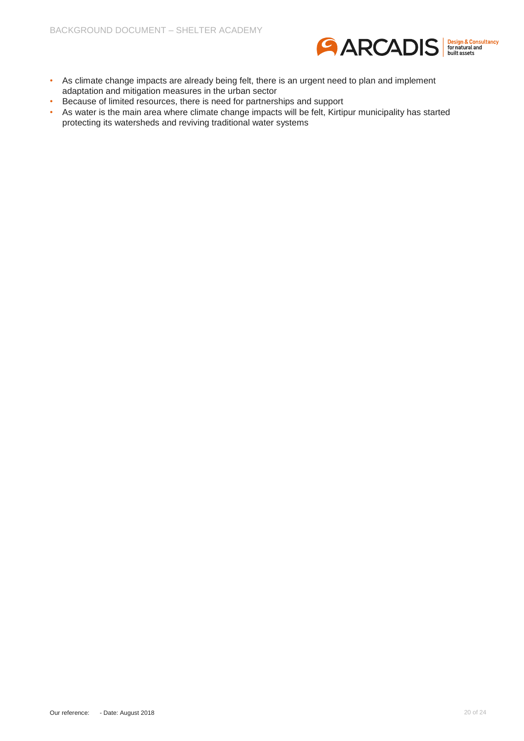

- As climate change impacts are already being felt, there is an urgent need to plan and implement adaptation and mitigation measures in the urban sector
- Because of limited resources, there is need for partnerships and support
- As water is the main area where climate change impacts will be felt, Kirtipur municipality has started protecting its watersheds and reviving traditional water systems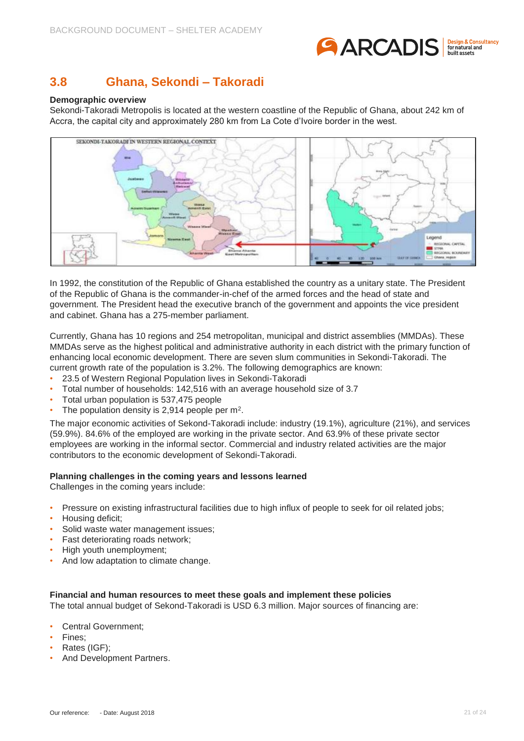

### <span id="page-20-0"></span>**3.8 Ghana, Sekondi – Takoradi**

#### **Demographic overview**

Sekondi-Takoradi Metropolis is located at the western coastline of the Republic of Ghana, about 242 km of Accra, the capital city and approximately 280 km from La Cote d'Ivoire border in the west.



In 1992, the constitution of the Republic of Ghana established the country as a unitary state. The President of the Republic of Ghana is the commander-in-chef of the armed forces and the head of state and government. The President head the executive branch of the government and appoints the vice president and cabinet. Ghana has a 275-member parliament.

Currently, Ghana has 10 regions and 254 metropolitan, municipal and district assemblies (MMDAs). These MMDAs serve as the highest political and administrative authority in each district with the primary function of enhancing local economic development. There are seven slum communities in Sekondi-Takoradi. The current growth rate of the population is 3.2%. The following demographics are known:

- 23.5 of Western Regional Population lives in Sekondi-Takoradi
- Total number of households: 142,516 with an average household size of 3.7
- Total urban population is 537,475 people
- The population density is 2,914 people per  $m^2$ .

The major economic activities of Sekond-Takoradi include: industry (19.1%), agriculture (21%), and services (59.9%). 84.6% of the employed are working in the private sector. And 63.9% of these private sector employees are working in the informal sector. Commercial and industry related activities are the major contributors to the economic development of Sekondi-Takoradi.

#### **Planning challenges in the coming years and lessons learned**

Challenges in the coming years include:

- Pressure on existing infrastructural facilities due to high influx of people to seek for oil related jobs;
- Housing deficit;
- Solid waste water management issues;
- Fast deteriorating roads network;
- High youth unemployment;
- And low adaptation to climate change.

#### **Financial and human resources to meet these goals and implement these policies**

The total annual budget of Sekond-Takoradi is USD 6.3 million. Major sources of financing are:

- Central Government;
- Fines:
- Rates (IGF):
- And Development Partners.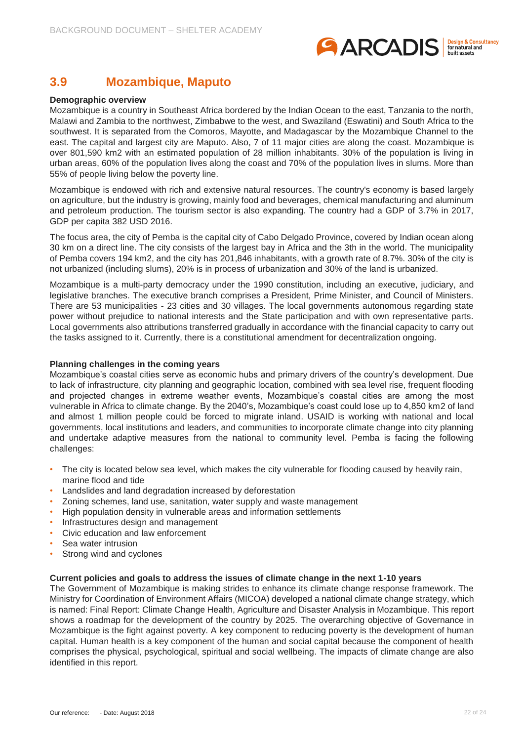

### <span id="page-21-0"></span>**3.9 Mozambique, Maputo**

#### **Demographic overview**

Mozambique is a country in Southeast Africa bordered by the Indian Ocean to the east, Tanzania to the north, Malawi and Zambia to the northwest, Zimbabwe to the west, and Swaziland (Eswatini) and South Africa to the southwest. It is separated from the Comoros, Mayotte, and Madagascar by the Mozambique Channel to the east. The capital and largest city are Maputo. Also, 7 of 11 major cities are along the coast. Mozambique is over 801,590 km2 with an estimated population of 28 million inhabitants. 30% of the population is living in urban areas, 60% of the population lives along the coast and 70% of the population lives in slums. More than 55% of people living below the poverty line.

Mozambique is endowed with rich and extensive natural resources. The country's economy is based largely on agriculture, but the industry is growing, mainly food and beverages, chemical manufacturing and aluminum and petroleum production. The tourism sector is also expanding. The country had a GDP of 3.7% in 2017, GDP per capita 382 USD 2016.

The focus area, the city of Pemba is the capital city of Cabo Delgado Province, covered by Indian ocean along 30 km on a direct line. The city consists of the largest bay in Africa and the 3th in the world. The municipality of Pemba covers 194 km2, and the city has 201,846 inhabitants, with a growth rate of 8.7%. 30% of the city is not urbanized (including slums), 20% is in process of urbanization and 30% of the land is urbanized.

Mozambique is a multi-party democracy under the 1990 constitution, including an executive, judiciary, and legislative branches. The executive branch comprises a President, Prime Minister, and Council of Ministers. There are 53 municipalities - 23 cities and 30 villages. The local governments autonomous regarding state power without prejudice to national interests and the State participation and with own representative parts. Local governments also attributions transferred gradually in accordance with the financial capacity to carry out the tasks assigned to it. Currently, there is a constitutional amendment for decentralization ongoing.

#### **Planning challenges in the coming years**

Mozambique's coastal cities serve as economic hubs and primary drivers of the country's development. Due to lack of infrastructure, city planning and geographic location, combined with sea level rise, frequent flooding and projected changes in extreme weather events, Mozambique's coastal cities are among the most vulnerable in Africa to climate change. By the 2040's, Mozambique's coast could lose up to 4,850 km2 of land and almost 1 million people could be forced to migrate inland. USAID is working with national and local governments, local institutions and leaders, and communities to incorporate climate change into city planning and undertake adaptive measures from the national to community level. Pemba is facing the following challenges:

- The city is located below sea level, which makes the city vulnerable for flooding caused by heavily rain, marine flood and tide
- Landslides and land degradation increased by deforestation
- Zoning schemes, land use, sanitation, water supply and waste management
- High population density in vulnerable areas and information settlements
- Infrastructures design and management
- Civic education and law enforcement
- Sea water intrusion
- Strong wind and cyclones

#### **Current policies and goals to address the issues of climate change in the next 1-10 years**

The [Government of Mozambique](http://www.portaldogoverno.gov.mz/) is making strides to enhance its climate change response framework. The Ministry for Coordination of Environment Affairs (MICOA) developed a national climate change strategy, which is named: Final Report: [Climate Change Health, Agriculture and Disaster Analysis in Mozambique.](https://cdkn.org/wp-content/uploads/2012/06/Climate-Change-Health-Agriculture-and-Disaster-Analysis-for-Mozambique-FINAL-REPORT.pdf) This report shows a roadmap for the development of the country by 2025. The overarching objective of Governance in Mozambique is the fight against poverty. A key component to reducing poverty is the development of human capital. Human health is a key component of the human and social capital because the component of health comprises the physical, psychological, spiritual and social wellbeing. The impacts of climate change are also identified in this report.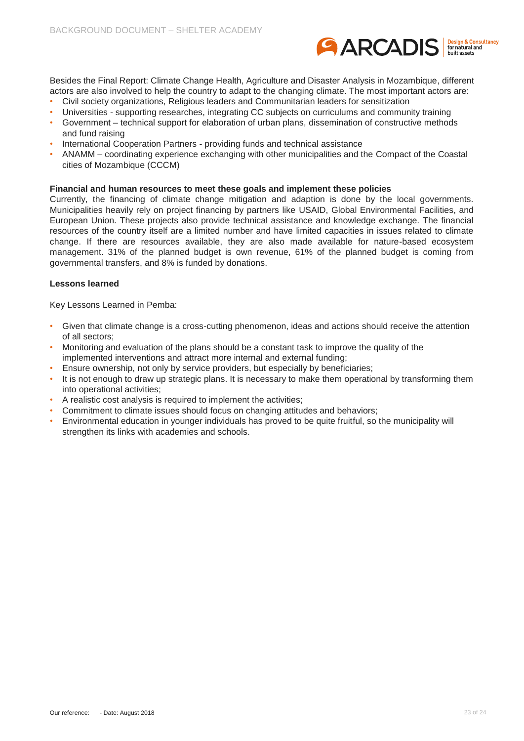

Besides the Final Report: [Climate Change Health, Agriculture and Disaster Analysis in Mozambique,](https://cdkn.org/wp-content/uploads/2012/06/Climate-Change-Health-Agriculture-and-Disaster-Analysis-for-Mozambique-FINAL-REPORT.pdf) different actors are also involved to help the country to adapt to the changing climate. The most important actors are:

- Civil society organizations, Religious leaders and Communitarian leaders for sensitization
- Universities supporting researches, integrating CC subjects on curriculums and community training
- Government technical support for elaboration of urban plans, dissemination of constructive methods and fund raising
- International Cooperation Partners providing funds and technical assistance
- ANAMM coordinating experience exchanging with other municipalities and the Compact of the Coastal cities of Mozambique (CCCM)

#### **Financial and human resources to meet these goals and implement these policies**

Currently, the financing of climate change mitigation and adaption is done by the local governments. Municipalities heavily rely on project financing by partners like USAID, Global Environmental Facilities, and European Union. These projects also provide technical assistance and knowledge exchange. The financial resources of the country itself are a limited number and have limited capacities in issues related to climate change. If there are resources available, they are also made available for nature-based ecosystem management. 31% of the planned budget is own revenue, 61% of the planned budget is coming from governmental transfers, and 8% is funded by donations.

#### **Lessons learned**

Key Lessons Learned in Pemba:

- Given that climate change is a cross-cutting phenomenon, ideas and actions should receive the attention of all sectors;
- Monitoring and evaluation of the plans should be a constant task to improve the quality of the implemented interventions and attract more internal and external funding;
- Ensure ownership, not only by service providers, but especially by beneficiaries;
- It is not enough to draw up strategic plans. It is necessary to make them operational by transforming them into operational activities;
- A realistic cost analysis is required to implement the activities;
- Commitment to climate issues should focus on changing attitudes and behaviors;
- Environmental education in younger individuals has proved to be quite fruitful, so the municipality will strengthen its links with academies and schools.